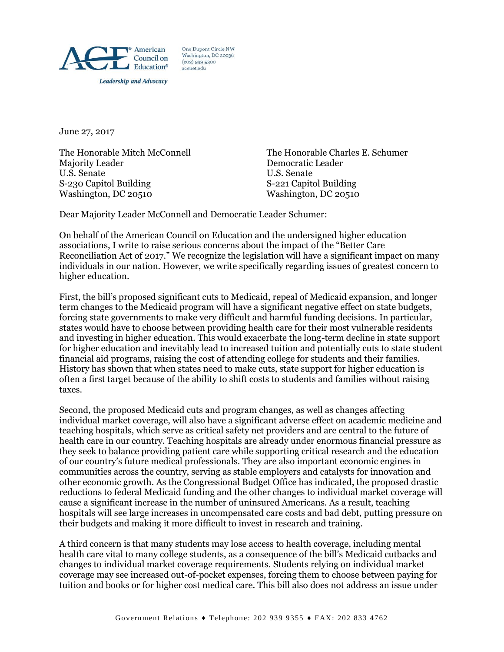

One Dupont Circle NW Washington, DC 20036  $(202)$  939-9300 acenet.edu

June 27, 2017

Majority Leader **Democratic Leader** U.S. Senate U.S. Senate S-230 Capitol Building S-221 Capitol Building Washington, DC 20510 Washington, DC 20510

The Honorable Mitch McConnell The Honorable Charles E. Schumer

Dear Majority Leader McConnell and Democratic Leader Schumer:

On behalf of the American Council on Education and the undersigned higher education associations, I write to raise serious concerns about the impact of the "Better Care Reconciliation Act of 2017." We recognize the legislation will have a significant impact on many individuals in our nation. However, we write specifically regarding issues of greatest concern to higher education.

First, the bill's proposed significant cuts to Medicaid, repeal of Medicaid expansion, and longer term changes to the Medicaid program will have a significant negative effect on state budgets, forcing state governments to make very difficult and harmful funding decisions. In particular, states would have to choose between providing health care for their most vulnerable residents and investing in higher education. This would exacerbate the long-term decline in state support for higher education and inevitably lead to increased tuition and potentially cuts to state student financial aid programs, raising the cost of attending college for students and their families. History has shown that when states need to make cuts, state support for higher education is often a first target because of the ability to shift costs to students and families without raising taxes.

Second, the proposed Medicaid cuts and program changes, as well as changes affecting individual market coverage, will also have a significant adverse effect on academic medicine and teaching hospitals, which serve as critical safety net providers and are central to the future of health care in our country. Teaching hospitals are already under enormous financial pressure as they seek to balance providing patient care while supporting critical research and the education of our country's future medical professionals. They are also important economic engines in communities across the country, serving as stable employers and catalysts for innovation and other economic growth. As the Congressional Budget Office has indicated, the proposed drastic reductions to federal Medicaid funding and the other changes to individual market coverage will cause a significant increase in the number of uninsured Americans. As a result, teaching hospitals will see large increases in uncompensated care costs and bad debt, putting pressure on their budgets and making it more difficult to invest in research and training.

A third concern is that many students may lose access to health coverage, including mental health care vital to many college students, as a consequence of the bill's Medicaid cutbacks and changes to individual market coverage requirements. Students relying on individual market coverage may see increased out-of-pocket expenses, forcing them to choose between paying for tuition and books or for higher cost medical care. This bill also does not address an issue under